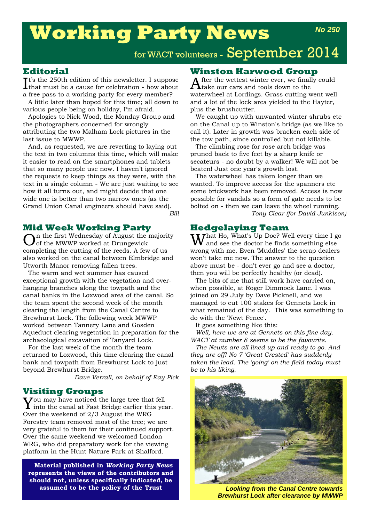# **Working Party News**

## for WACT volunteers - September 2014

#### **Editorial**

It's the 250th edition of this newsletter. I suppose<br>that must be a cause for celebration - how about that must be a cause for celebration - how about a free pass to a working party for every member?

A little later than hoped for this time; all down to various people being on holiday, I'm afraid.

Apologies to Nick Wood, the Monday Group and the photographers concerned for wrongly attributing the two Malham Lock pictures in the last issue to MWWP.

And, as requested, we are reverting to laying out the text in two columns this time, which will make it easier to read on the smartphones and tablets that so many people use now. I haven't ignored the requests to keep things as they were, with the text in a single column - We are just waiting to see how it all turns out, and might decide that one wide one is better than two narrow ones (as the Grand Union Canal engineers should have said).

*Bill*

#### **Mid Week Working Party**

In the first Wednesday of August the majority of the MWWP worked at Drungewick completing the cutting of the reeds. A few of us also worked on the canal between Elmbridge and Utworth Manor removing fallen trees.

The warm and wet summer has caused exceptional growth with the vegetation and overhanging branches along the towpath and the canal banks in the Loxwood area of the canal. So the team spent the second week of the month clearing the length from the Canal Centre to Brewhurst Lock. The following week MWWP worked between Tannery Lane and Gosden Aqueduct clearing vegetation in preparation for the archaeological excavation of Tanyard Lock.

For the last week of the month the team returned to Loxwood, this time clearing the canal bank and towpath from Brewhurst Lock to just beyond Brewhurst Bridge.

*Dave Verrall, on behalf of Ray Pick*

#### **Visiting Groups**

You may have noticed the large tree that fell into the canal at Fast Bridge earlier this year. Over the weekend of 2/3 August the WRG Forestry team removed most of the tree; we are very grateful to them for their continued support. Over the same weekend we welcomed London WRG, who did preparatory work for the viewing platform in the Hunt Nature Park at Shalford.

**Material published in** *Working Party News* **represents the views of the contributors and should not, unless specifically indicated, be assumed to be the policy of the Trust** *Looking from the Canal Centre towards*

#### **Winston Harwood Group**

 ${\rm \bf A}$ fter the wettest winter ever, we finally could take our cars and tools down to the waterwheel at Lordings. Grass cutting went well and a lot of the lock area yielded to the Hayter, plus the brushcutter.

We caught up with unwanted winter shrubs etc on the Canal up to Winston's bridge (as we like to call it). Later in growth was bracken each side of the tow path, since controlled but not killable.

The climbing rose for rose arch bridge was pruned back to five feet by a sharp knife or secateurs - no doubt by a walker! We will not be beaten! Just one year's growth lost.

The waterwheel has taken longer than we wanted. To improve access for the spanners etc some brickwork has been removed. Access is now possible for vandals so a form of gate needs to be bolted on - then we can leave the wheel running. *Tony Clear (for David Junkison)*

#### **Hedgelaying Team**

 $\bf W$ hat Ho, What's Up Doc? Well every time I go and see the doctor he finds something else wrong with me. Even 'Muddles' the scrap dealers won't take me now. The answer to the question above must be - don't ever go and see a doctor, then you will be perfectly healthy (or dead).

The bits of me that still work have carried on, when possible, at Roger Dimmock Lane. I was joined on 29 July by Dave Picknell, and we managed to cut 100 stakes for Gennets Lock in what remained of the day. This was something to do with the 'Newt Fence'.

It goes something like this:

*Well, here we are at Gennets on this fine day. WACT at number 8 seems to be the favourite.* 

*The Newts are all lined up and ready to go. And they are off! No 7 'Great Crested' has suddenly taken the lead. The 'going' on the field today must be to his liking.* 



*Brewhurst Lock after clearance by MWWP*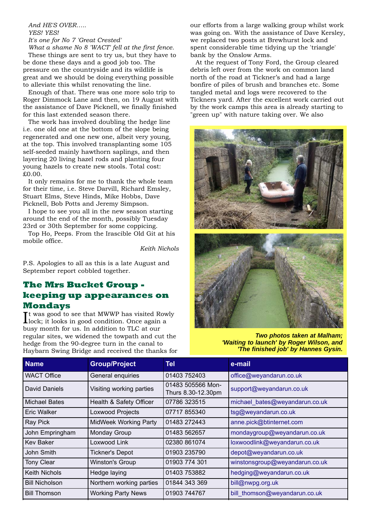#### *And HE'S OVER….. YES! YES!*

*It's one for No 7 'Great Crested' What a shame No 8 'WACT' fell at the first fence.*

These things are sent to try us, but they have to be done these days and a good job too. The pressure on the countryside and its wildlife is great and we should be doing everything possible to alleviate this whilst renovating the line.

Enough of that. There was one more solo trip to Roger Dimmock Lane and then, on 19 August with the assistance of Dave Picknell, we finally finished for this last extended season there.

The work has involved doubling the hedge line i.e. one old one at the bottom of the slope being regenerated and one new one, albeit very young, at the top. This involved transplanting some 105 self-seeded mainly hawthorn saplings, and then layering 20 living hazel rods and planting four young hazels to create new stools. Total cost: £0.00.

It only remains for me to thank the whole team for their time, i.e. Steve Darvill, Richard Emsley, Stuart Elms, Steve Hinds, Mike Hobbs, Dave Picknell, Bob Potts and Jeremy Simpson.

I hope to see you all in the new season starting around the end of the month, possibly Tuesday 23rd or 30th September for some coppicing.

Top Ho, Peeps. From the Irascible Old Git at his mobile office.

*Keith Nichols*

P.S. Apologies to all as this is a late August and September report cobbled together.

### **The Mrs Bucket Group keeping up appearances on Mondays**

It was good to see that MWWP has visited Rov<br>lock; it looks in good condition. Once again a t was good to see that MWWP has visited Rowly busy month for us. In addition to TLC at our regular sites, we widened the towpath and cut the hedge from the 90-degree turn in the canal to Haybarn Swing Bridge and received the thanks for our efforts from a large walking group whilst work was going on. With the assistance of Dave Kersley, we replaced two posts at Brewhurst lock and spent considerable time tidying up the 'triangle' bank by the Onslow Arms.

At the request of Tony Ford, the Group cleared debris left over from the work on common land north of the road at Tickner's and had a large bonfire of piles of brush and branches etc. Some tangled metal and logs were recovered to the Tickners yard. After the excellent work carried out by the work camps this area is already starting to "green up" with nature taking over. We also





*Two photos taken at Malham; 'Waiting to launch' by Roger Wilson, and 'The finished job' by Hannes Gysin.*

| <b>Name</b>           | <b>Group/Project</b>         | <b>Tel</b>                              | e-mail                         |
|-----------------------|------------------------------|-----------------------------------------|--------------------------------|
| WACT Office           | General enquiries            | 01403 752403                            | office@weyandarun.co.uk        |
| David Daniels         | Visiting working parties     | 01483 505566 Mon-<br>Thurs 8.30-12.30pm | support@weyandarun.co.uk       |
| Michael Bates         | Health & Safety Officer      | 07786 323515                            | michael_bates@weyandarun.co.uk |
| <b>Eric Walker</b>    | Loxwood Projects             | 07717 855340                            | tsg@weyandarun.co.uk           |
| Ray Pick              | <b>MidWeek Working Party</b> | 01483 272443                            | anne.pick@btinternet.com       |
| John Empringham       | Monday Group                 | 01483 562657                            | mondaygroup@weyandarun.co.uk   |
| Kev Baker             | Loxwood Link                 | 02380 861074                            | loxwoodlink@weyandarun.co.uk   |
| John Smith            | <b>Tickner's Depot</b>       | 01903 235790                            | depot@weyandarun.co.uk         |
| <b>Tony Clear</b>     | <b>Winston's Group</b>       | 01903 774 301                           | winstonsgroup@weyandarun.co.uk |
| <b>Keith Nichols</b>  | Hedge laying                 | 01403 753882                            | hedging@weyandarun.co.uk       |
| <b>Bill Nicholson</b> | Northern working parties     | 01844 343 369                           | bill@nwpg.org.uk               |
| <b>Bill Thomson</b>   | <b>Working Party News</b>    | 01903 744767                            | bill_thomson@weyandarun.co.uk  |